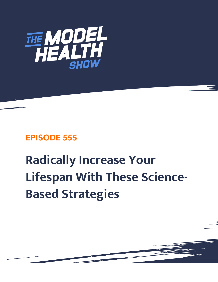

# **EPISODE 555**

# **Radically Increase Your Lifespan With These Science-Based Strategies**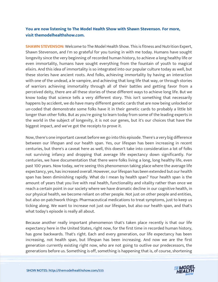# **You are now listening to The Model Health Show with Shawn Stevenson. For more, visit themodelhealthshow.com.**

**SHAWN STEVENSON:** Welcome to The Model Health Show. This is fitness and Nutrition Expert, Shawn Stevenson, and I'm so grateful for you tuning in with me today. Humans have sought longevity since the very beginning of recorded human history, to achieve a long healthy life or even immortality, humans have sought everything from the fountain of youth to magical elixirs. And this idea of immortality is so integrated into our popular culture today as well, but these stories have ancient roots. And folks, achieving immortality by having an interaction with one of the undead, a le vampire, and achieving that long life that way, or through stories of warriors achieving immortality through all of their battles and getting favor from a perceived deity, there are all these stories of these different ways to achieve long life. But we know today that science tells a very different story. This isn't something that necessarily happens by accident, we do have many different genetic cards that are now being unlocked or un-coded that demonstrate some folks have it in their genetic cards to probably a little bit longer than other folks. But as you're going to learn today from some of the leading experts in the world in the subject of longevity, it is not our genes, but it's our choices that have the biggest impact, and we've got the receipts to prove it.

Now, there's one important caveat before we go into this episode. There's a very big difference between our lifespan and our health span. Yes, our lifespan has been increasing in recent centuries, but there's a caveat here as well, this doesn't take into consideration a lot of folks not surviving infancy and dropping that average life expectancy down significantly. For centuries, we have documentation that there were folks living a long, long healthy life, even past 100 years. Now today, we're seeing this phenomenon taking place where the average life expectancy, yes, has increased overall. However, our lifespan has been extended but our health span has been diminishing rapidly. What do I mean by health span? Your health span is the amount of years that you live with real health, functionality and vitality rather than once we reach a certain point in our society where we have dramatic decline in our cognitive health, in our physical health, we become reliant on other people. Not just on other people and entities, but also on patchwork things: Pharmaceutical medications to treat symptoms, just to keep us ticking along. We want to increase not just our lifespan, but also our health span, and that's what today's episode is really all about.

Because another really important phenomenon that's taken place recently is that our life expectancy here in the United States, right now, for the first time in recorded human history, has gone backwards. That's right. Each and every generation, our life expectancy has been increasing, not health span, but lifespan has been increasing. And now we are the first generation currently existing right now, who are not going to outlive our predecessors, the [generations before us. Something is off, something is happening that is, of course, shortening](https://themodelhealthshow.com/increase-your-lifespan/) 

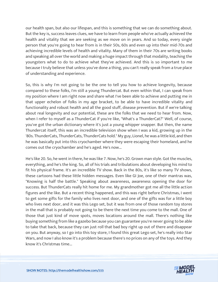our health span, but also our lifespan, and this is something that we can do something about. But the key is, success leaves clues, we have to learn from people who've actually achieved the health and vitality that we are seeking as we move on in years. And so today, every single person that you're going to hear from is in their 50s, 60s and even up into their mid-70s and achieving incredible levels of health and vitality. Many of them in their 70s are writing books and speaking all over the world and making a huge impact through that modality, teaching the youngsters what to do to achieve what they've achieved. And this is so important to me because I truly believe that unless you've done a thing, you can't really speak from a true place of understanding and experience.

So, this is why I'm not going to be the one to tell you how to achieve longevity, because compared to these folks, I'm still a young Thundercat. But even within that, I can speak from my position where I am right now and share what I've been able to achieve and putting me in that upper echelon of folks in my age bracket, to be able to have incredible vitality and functionality and robust health and all the good stuff, disease prevention. But if we're talking about real longevity and our potential, these are the folks that we need to hear from. Now, when I refer to myself as a ThunderCat if you're like, "What's a ThunderCat?" Well, of course, you've got the urban dictionary where it's just a young whipper snapper. But then, the name Thundercat itself, this was an incredible television show when I was a kid, growing up in the '80s. ThunderCats, ThunderCats, ThunderCats hold." My guy, Lionel, he was a little kid, and then he was basically put into this cryochamber where they were escaping their homeland, and he comes out the cryochamber and he's aged. He's now...

He's like 20. So, he went in there, he was like 7. Now, he's 20. Grown man style. Got the muscles, everything, and he's the king. So, all of his trials and tribulations about developing his mind to fit his physical frame. It's an incredible TV show. Back in the 80s, it's like so many TV shows, these cartoons had these little hidden messages. Even like GI Joe, one of their mantras was, "Knowing is half the battle." Speaking about awareness, awareness opening the door for success. But ThunderCats really hit home for me. My grandmother got me all the little action figures and the like. But a recent thing happened, and this was right before Christmas, I went to get some gifts for the family who lives next door, and one of the gifts was for a little boy who lives next door, and it was this Lego set, but it was from one of those random toy stores in the mall that is probably not going to be there the next time you come to the mall. One of those that just kind of move spots, moves locations around the mall. There's nothing like buying something from like a gazebo because you can guarantee you're never going to be able to take that back, because they can just roll that bad boy right up out of there and disappear on you. But anyway, so I go into this toy store, I found this great Lego set, he's really into Star Wars, and now I also know it's a problem because there's no prices on any of the toys. And they know it's Christmas time...

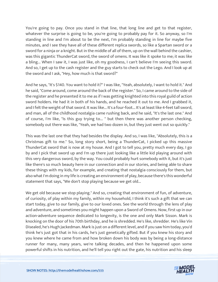You're going to pay. Once you stand in that line, that long line and get to that register, whatever the surprise is going to be, you're going to probably pay for it. So anyway, so I'm standing in line and I'm about to be the next, I'm probably standing in line for maybe five minutes, and I see they have all of these different replica swords, so like a Spartan sword or a sword for a ninja or a knight. But in the middle of all of them, up on the wall behind the cashier, was this gigantic ThunderCat sword, the sword of omens. It was like it spoke to me; it was like a bling... When I saw it, I was just like, oh my goodness, I can't believe I'm seeing this sword. And so, I get up to the cash register and the guy starts to check out the Lego. And I look up at the sword and I ask, "Hey, how much is that sword?"

And he says, "It's \$140. You want to hold it?" I was like, "Yeah, absolutely, I want to hold it." And he said, "Come around, come around the back of the register." So, I came around to the side of the register and he presented it to me as if I was getting knighted into this royal guild of action sword holders. He had it in both of his hands, and he reached it out to me. And I grabbed it, and I felt the weight of that sword. It was like... It's a four-foot... It's at least like 4-feet tall sword, and man, all of the childhood nostalgia came rushing back, and he said, "It's the last one." And of course, I'm like, "Is this guy trying to... " but then there was another person checking, somebody out there was like, "Yeah, we had two dozen in, but they just went out so quickly."

This was the last one that they had besides the display. And so, I was like, "Absolutely, this is a Christmas gift to me." So, long story short, being a ThunderCat, I picked up this massive ThunderCat sword that is now at my house. And I got to tell you, pretty much every day, I go by and I pick that sword up and I'm up there just looking like a little kid playing around with this very dangerous sword, by the way. You could probably hurt somebody with it, but it's just like there's so much beauty here in our connection and in our stories, and being able to share these things with my kids, for example, and creating that nostalgia consciously for them, but also what I'm doing in my life is creating an environment of play, because there's this wonderful statement that says, "We don't stop playing because we get old...

We get old because we stop playing." And so, creating that environment of fun, of adventure, of curiosity, of play within my family, within my household, I think it's such a gift that we can start today, give to our family, give to our loved ones. See the world through the lens of play and adventure, and sometimes you might happen upon a Sword of Omens. Now, first up in our action-adventure sequence dedicated to longevity, is the one and only Mark Sisson. Mark is knocking on the door of his 70th birthday, and he is shredded. He's like, shredder. He's like Vin Disealed, he's Hugh Jackedman. Mark is just on a different level, and if you saw him today, you'd think he's just got that in his cards, he's just genetically gifted. But if you knew his story and you knew where he came from and how broken down his body was by being a long-distance runner for many, many years, we're talking decades, and then he happened upon some powerful shifts in his nutrition, and he'll tell you right out the gate, his nutrition and his sleep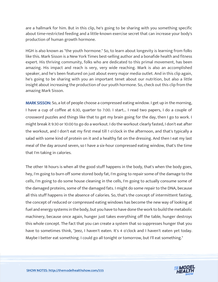are a hallmark for him. But in this clip, he's going to be sharing with you something specific about time-restricted feeding and a little-known exercise secret that can increase your body's production of human growth hormone.

HGH is also known as "the youth hormone." So, to learn about longevity is learning from folks like this. Mark Sisson is a New York Times best-selling author and a bonafide health and fitness expert. His thriving community, folks who are dedicated to this primal movement, has been amazing. His impact and reach is very, very wide reaching. Mark is also an accomplished speaker, and he's been featured on just about every major media outlet. And in this clip again, he's going to be sharing with you an important tenet about our nutrition, but also a little insight about increasing the production of our youth hormone. So, check out this clip from the amazing Mark Sisson.

MARK SISSON: So, a lot of people choose a compressed eating window. I get up in the morning, I have a cup of coffee at 6:30, quarter to 7:00. I start... I read two papers, I do a couple of crossword puzzles and things like that to get my brain going for the day, then I go to work. I might break it 9:30 or 10:00 to go do a workout. I do the workout clearly fasted, I don't eat after the workout, and I don't eat my first meal till 1 o'clock in the afternoon, and that's typically a salad with some kind of protein on it and a healthy fat on the dressing. And then I eat my last meal of the day around seven, so I have a six-hour compressed eating window, that's the time that I'm taking in calories.

The other 18 hours is when all the good stuff happens in the body, that's when the body goes, hey, I'm going to burn off some stored body fat, I'm going to repair some of the damage to the cells, I'm going to do some house cleaning in the cells, I'm going to actually consume some of the damaged proteins, some of the damaged fats. I might do some repair to the DNA, because all this stuff happens in the absence of calories. So, that's the concept of intermittent fasting, the concept of reduced or compressed eating windows has become the new way of looking at fuel and energy systems in the body, but you have to have done the work to build the metabolic machinery, because once again, hunger just takes everything off the table, hunger destroys this whole concept. The fact that you can create a system that so suppresses hunger that you have to sometimes think, "Jeez, I haven't eaten. It's 4 o'clock and I haven't eaten yet today. Maybe I better eat something. I could go all tonight or tomorrow, but I'll eat something."

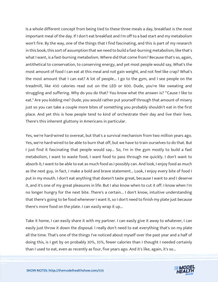Is a whole different concept from being tied to these three meals a day, breakfast is the most important meal of the day. If I don't eat breakfast and I'm off to a bad start and my metabolism won't fire. By the way, one of the things that I find fascinating, and this is part of my research in this book, this sort of assumption that we need to build a fast-burning metabolism, like that's what I want, is a fast-burning metabolism. Where did that come from? Because that's so, again, antithetical to conservation, to conserving energy, and yet most people would say, What's the most amount of food I can eat at this meal and not gain weight, and not feel like crap? What's the most amount that I can eat? A lot of people... I go to the gym, and I see people on the treadmill, like 450 calories read out on the LED or 600. Dude, you're like sweating and struggling and suffering. Why do you do that? You know what the answer is? "'Cause I like to eat." Are you kidding me? Dude, you would rather put yourself through that amount of misery just so you can take a couple more bites of something you probably shouldn't eat in the first place. And yet this is how people tend to kind of orchestrate their day and live their lives. There's this inherent gluttony in Americans in particular.

Yes, we're hard-wired to overeat, but that's a survival mechanism from two million years ago. Yes, we're hard-wired to be able to burn that off, but we have to train ourselves to do that. But I just find it fascinating that people would say... So, I'm in the gym mostly to build a fast metabolism, I want to waste food, I want food to pass through me quickly. I don't want to absorb it; I want to be able to eat as much food as I possibly can. And look, I enjoy food as much as the next guy, in fact, I make a bold and brave statement... Look, I enjoy every bite of food I put in my mouth. I don't eat anything that doesn't taste great, because I want to and I deserve it, and it's one of my great pleasures in life. But I also know when to cut it off. I know when I'm no longer hungry for the next bite. There's a certain... I don't know, intuitive understanding that there's going to be food whenever I want it, so I don't need to finish my plate just because there's more food on the plate. I can easily wrap it up...

Take it home, I can easily share it with my partner. I can easily give it away to whatever, I can easily just throw it down the disposal. I really don't need to eat everything that's on my plate all the time. That's one of the things I've noticed about myself over the past year and a half of doing this, is I get by on probably 30%, 35%, fewer calories than I thought I needed certainly than I used to eat, even as recently as four, five years ago. And it's like, again, it's so...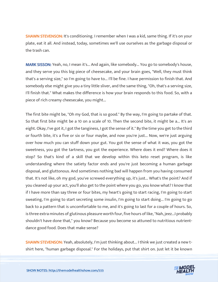**SHAWN STEVENSON:** It's conditioning. I remember when I was a kid, same thing. If it's on your plate, eat it all. And instead, today, sometimes we'll use ourselves as the garbage disposal or the trash can.

MARK SISSON: Yeah, no, I mean it's... And again, like somebody... You go to somebody's house, and they serve you this big piece of cheesecake, and your brain goes, "Well, they must think that's a serving size," so I'm going to have to... I'll be fine. I have permission to finish that. And somebody else might give you a tiny little sliver, and the same thing, "Oh, that's a serving size, I'll finish that." What makes the difference is how your brain responds to this food. So, with a piece of rich creamy cheesecake, you might...

The first bite might be, "Oh my God, that is so good." By the way, I'm going to partake of that. So that first bite might be a 10 on a scale of 10. Then the second bite, it might be a... It's an eight. Okay, I've got it, I got the tanginess, I got the sense of it." By the time you get to the third or fourth bite, it's a five or six or four maybe, and now you're just... Now, we're just arguing over how much you can stuff down your gut. You got the sense of what it was, you got the sweetness, you got the tartness, you got the experience. Where does it end? Where does it stop? So that's kind of a skill that we develop within this keto reset program, is like understanding where the satiety factor ends and you're just becoming a human garbage disposal, and gluttonous. And sometimes nothing bad will happen from you having consumed that. It's not like, oh my god, you've screwed everything up, it's just... What's the point? And if you cleaned up your act, you'll also get to the point where you go, you know what? I know that if I have more than say three or four bites, my heart's going to start racing, I'm going to start sweating, I'm going to start secreting some insulin, I'm going to start doing... I'm going to go back to a pattern that is uncomfortable to me, and it's going to last for a couple of hours. So, is three extra minutes of glutinous pleasure worth four, five hours of like, "Nah, jeez...I probably shouldn't have done that," you know? Because you become so attuned to nutritious nutrientdance good food. Does that make sense?

SHAWN STEVENSON: Yeah, absolutely, I'm just thinking about... I think we just created a new tshirt here, "human garbage disposal." For the holidays, put that shirt on. Just let it be known

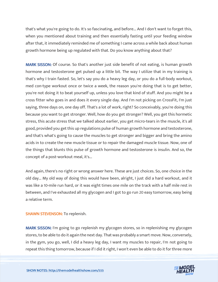that's what you're going to do. It's so fascinating, and before... And I don't want to forget this, when you mentioned about training and then essentially fasting until your feeding window after that, it immediately reminded me of something I came across a while back about human growth hormone being up regulated with that. Do you know anything about that?

MARK SISSON: Of course. So that's another just side benefit of not eating, is human growth hormone and testosterone get pulsed up a little bit. The way I utilize that in my training is that's why I train fasted. So, let's say you do a heavy leg day, or you do a full-body workout, med con-type workout once or twice a week, the reason you're doing that is to get better, you're not doing it to beat yourself up, unless you love that kind of stuff. And you might be a cross fitter who goes in and does it every single day. And I'm not picking on CrossFit, I'm just saying, three days on, one day off. That's a lot of work, right? So conceivably, you're doing this because you want to get stronger. Well, how do you get stronger? Well, you get this hormetic stress, this acute stress that we talked about earlier, you get micro-tears in the muscle, it's all good, provided you get this up regulations pulse of human growth hormone and testosterone, and that's what's going to cause the muscles to get stronger and bigger and bring the amino acids in to create the new muscle tissue or to repair the damaged muscle tissue. Now, one of the things that blunts this pulse of growth hormone and testosterone is insulin. And so, the concept of a post-workout meal, it's...

And again, there's no right or wrong answer here. These are just choices. So, one choice in the old day... My old way of doing this would have been, alright, I just did a hard workout, and it was like a 10-mile run hard, or it was eight times one mile on the track with a half mile rest in between, and I've exhausted all my glycogen and I got to go run 20 easy tomorrow, easy being a relative term.

# SHAWN STEVENSON: To replenish.

MARK SISSON: I'm going to go replenish my glycogen stores, so in replenishing my glycogen stores, to be able to do it again the next day. That was probably a smart move. Now, conversely, in the gym, you go, well, I did a heavy leg day, I want my muscles to repair, I'm not going to repeat this thing tomorrow, because if I did it right, I won't even be able to do it for three more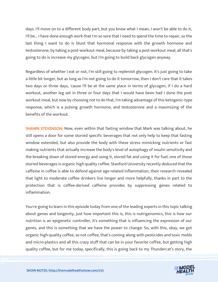days. I'll move on to a different body part, but you know what I mean, I won't be able to do it, I'll be... I have done enough work that I'm so sore that I need to spend the time to repair, so the last thing I want to do is blunt that hormonal response with the growth hormone and testosterone, by taking a post-workout meal, because by taking a post-workout meal, all that's going to do is increase my glycogen, but I'm going to build back glycogen anyway.

Regardless of whether I eat or not, I'm still going to replenish glycogen. It's just going to take a little bit longer, but as long as I'm not going to do it tomorrow, then I don't care that it takes two days or three days, 'cause I'll be at the same place in terms of glycogen, if I do a hard workout, another leg set in three or four days that I would have been had I done the post workout meal, but now by choosing not to do that, I'm taking advantage of this ketogenic-type response, which is a pulsing growth hormone, and testosterone and a maximizing of the benefits of the workout.

SHAWN STEVENSON: Now, even within that fasting window that Mark was talking about, he still opens a door for some storied specific beverages that not only help to keep that fasting window extended, but also provide the body with these stress mimicking nutrients or fast making nutrients that actually increase the body's level of autophagy of insulin sensitivity and the breaking down of stored energy and using it, stored fat and using it for fuel, one of those storied beverages is organic high quality coffee. Stanford University recently deduced that the caffeine in coffee is able to defend against age-related inflammation, their research revealed that light to moderate coffee drinkers live longer and more helpfully, thanks in part to the protection that is coffee-derived caffeine provides by suppressing genes related to inflammation.

You're going to learn in this episode today from one of the leading experts in this topic talking about genes and longevity, just how important this is, this is nutrigenomics, this is how our nutrition is an epigenetic controller, it's something that is influencing the expression of our genes, and this is something that we have the power to change. So, with this, okay, we got organic high-quality coffee, so not coffee, that's coming along with pesticides and toxic molds and micro-plastics and all this crazy stuff that can be in your favorite coffee, but getting high quality coffee, but for me today, specifically, this is going back to my Thundercat's story, the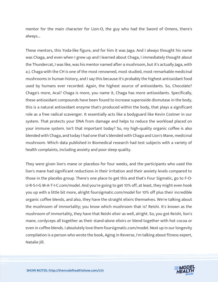mentor for the main character for Lion-O, the guy who had the Sword of Omens, there's always...

These mentors, this Yoda-like figure, and for him it was Jaga. And I always thought his name was Chaga, and even when I grew up and I learned about Chaga, I immediately thought about the Thundercat, I was like, was his mentor named after a mushroom, but it's actually Jaga, with a J. Chaga with the CH is one of the most renowned, most studied, most remarkable medicinal mushrooms in human history, and I say this because it's probably the highest antioxidant food used by humans ever recorded. Again, the highest source of antioxidants. So, Chocolate? Chaga's more, Acai? Chaga is more, you name it, Chaga has more antioxidants. Specifically, these antioxidant compounds have been found to increase superoxide dismutase in the body, this is a natural antioxidant enzyme that's produced within the body, that plays a significant role as a free radical scavenger. It essentially acts like a bodyguard like Kevin Costner in our system. That protects your DNA from damage and helps to reduce the workload placed on your immune system. Isn't that important today? So, my high-quality organic coffee is also blended with Chaga, and today I had one that's blended with Chaga and Lion's Mane, medicinal mushroom. Which data published in Biomedical research had test subjects with a variety of health complaints, including anxiety and poor sleep quality.

They were given lion's mane or placebos for four weeks, and the participants who used the lion's mane had significant reductions in their irritation and their anxiety levels compared to those in the placebo group. There's one place to get this and that's Four Sigmatic, go to F-O-U-R-S-I-G M-A-T-I-C.com/model. And you're going to get 10% off, at least, they might even hook you up with a little bit more, alright foursigmatic.com/model for 10% off plus their incredible organic coffee blends, and also, they have the straight elixirs themselves. We're talking about the mushroom of immortality; you know which mushroom that is? Reishi. It's known as the mushroom of immortality, they have that Reishi elixir as well, alright. So, you got Reishi, lion's mane, cordyceps all together as their stand-alone elixirs or blend together with hot cocoa or even in coffee blends. I absolutely love them foursigmatic.com/model. Next up in our longevity compilation is a person who wrote the book, Aging in Reverse, I'm talking about fitness expert, Natalie Jill.

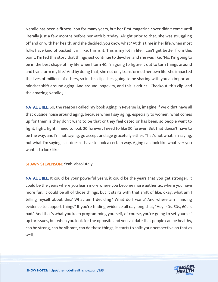Natalie has been a fitness icon for many years, but her first magazine cover didn't come until literally just a few months before her 40th birthday. Alright prior to that, she was struggling off and on with her health, and she decided, you know what? At this time in her life, when most folks have kind of packed it in, like, this is it. This is my lot in life. I can't get better from this point, I'm fed this story that things just continue to devolve, and she was like, "No, I'm going to be in the best shape of my life when I turn 40, I'm going to figure it out to turn things around and transform my life." And by doing that, she not only transformed her own life, she impacted the lives of millions of others, so in this clip, she's going to be sharing with you an important mindset shift around aging. And around longevity, and this is critical. Checkout, this clip, and the amazing Natalie Jill.

NATALIE JILL: So, the reason I called my book Aging in Reverse is, imagine if we didn't have all that outside noise around aging, because when I say aging, especially to women, what comes up for them is they don't want to be that or they feel dated or has been, so people want to fight, fight, fight. I need to look 20 forever, I need to like 30 forever. But that doesn't have to be the way, and I'm not saying, go accept and age gracefully either. That's not what I'm saying, but what I'm saying is, it doesn't have to look a certain way. Aging can look like whatever you want it to look like.

SHAWN STEVENSON: Yeah, absolutely.

NATALIE JILL: It could be your powerful years, it could be the years that you get stronger, it could be the years where you learn more where you become more authentic, where you have more fun, it could be all of those things, but it starts with that shift of like, okay, what am I telling myself about this? What am I deciding? What do I want? And where am I finding evidence to support things? If you're finding evidence all day long that, "Hey, 40s, 50s, 60s is bad." And that's what you keep programming yourself, of course, you're going to set yourself up for issues, but when you look for the opposite and you validate that people can be healthy, can be strong, can be vibrant, can do these things, it starts to shift your perspective on that as well.

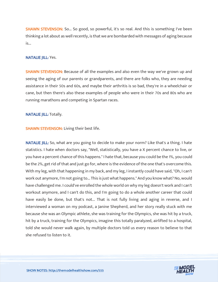**SHAWN STEVENSON:** So... So good, so powerful, it's so real. And this is something I've been thinking a lot about as well recently, is that we are bombarded with messages of aging because is...

#### NATALIE JILL: Yes.

SHAWN STEVENSON: Because of all the examples and also even the way we've grown up and seeing the aging of our parents or grandparents, and there are folks who, they are needing assistance in their 50s and 60s, and maybe their arthritis is so bad, they're in a wheelchair or cane, but then there's also these examples of people who were in their 70s and 80s who are running marathons and competing in Spartan races.

#### NATALIE JILL: Totally.

**SHAWN STEVENSON: Living their best life.** 

NATALIE JILL: So, what are you going to decide to make your norm? Like that's a thing. I hate statistics. I hate when doctors say, "Well, statistically, you have a X percent chance to live, or you have a percent chance of this happens." I hate that, because you could be the 1%, you could be the 2%, get rid of that and just go for, where is the evidence of the one that's overcome this. With my leg, with that happening in my back, and my leg, I instantly could have said, "Oh, I can't work out anymore, I'm not going to... This is just what happens." And you know what? No, would have challenged me. I could've enrolled the whole world on why my leg doesn't work and I can't workout anymore, and I can't do this, and I'm going to do a whole another career that could have easily be done, but that's not... That is not fully living and aging in reverse, and I interviewed a woman on my podcast, a Janine Shepherd, and her story really stuck with me because she was an Olympic athlete, she was training for the Olympics, she was hit by a truck, hit by a truck, training for the Olympics, imagine this totally paralyzed, airlifted to a hospital, told she would never walk again, by multiple doctors told us every reason to believe to that she refused to listen to it.

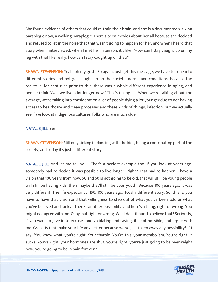She found evidence of others that could re-train their brain, and she is a documented walking paraplegic now, a walking paraplegic. There's been movies about her all because she decided and refused to let in the noise that that wasn't going to happen for her, and when I heard that story when I interviewed, when I met her in person, it's like, "How can I stay caught up on my leg with that like really, how can I stay caught up on that?"

SHAWN STEVENSON: Yeah, oh my gosh. So again, just get this message, we have to tune into different stories and not get caught up on the societal norms and conditions, because the reality is, for centuries prior to this, there was a whole different experience in aging, and people think "Well we live a lot longer now." That's taking it... When we're talking about the average, we're taking into consideration a lot of people dying a lot younger due to not having access to healthcare and clean processes and these kinds of things, infection, but we actually see if we look at indigenous cultures, folks who are much older.

# NATALIE JILL: Yes.

**SHAWN STEVENSON:** Still out, kicking it, dancing with the kids, being a contributing part of the society, and today it's just a different story.

NATALIE JILL: And let me tell you... That's a perfect example too. If you look at years ago, somebody had to decide it was possible to live longer. Right? That had to happen. I have a vision that 100 years from now, 50 and 60 is not going to be old, that will still be young people will still be having kids, then maybe that'll still be your youth. Because 100 years ago, it was very different. The life expectancy, 150, 100 years ago. Totally different story. So, this is, you have to have that vision and that willingness to step out of what you've been told or what you've believed and look at there's another possibility, and here's a thing, right or wrong. You might not agree with me. Okay, but right or wrong. What does it hurt to believe that? Seriously, if you want to give in to excuses and validating and saying, it's not possible, and argue with me. Great. Is that make your life any better because we've just taken away any possibility? If I say, "You know what, you're right. Your thyroid. You're this, your metabolism. You're right, it sucks. You're right, your hormones are shut, you're right, you're just going to be overweight now, you're going to be in pain forever."

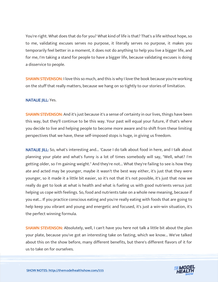You're right. What does that do for you? What kind of life is that? That's a life without hope, so to me, validating excuses serves no purpose, it literally serves no purpose, it makes you temporarily feel better in a moment, it does not do anything to help you live a bigger life, and for me, I'm taking a stand for people to have a bigger life, because validating excuses is doing a disservice to people.

**SHAWN STEVENSON:** I love this so much, and this is why I love the book because you're working on the stuff that really matters, because we hang on so tightly to our stories of limitation.

# NATALIE JILL: Yes.

**SHAWN STEVENSON:** And it's just because it's a sense of certainty in our lives, things have been this way, but they'll continue to be this way. Your past will equal your future, if that's where you decide to live and helping people to become more aware and to shift from these limiting perspectives that we have, these self-imposed stops is huge, in giving us freedom.

NATALIE JILL: So, what's interesting and... 'Cause I do talk about food in here, and I talk about planning your plate and what's funny is a lot of times somebody will say, "Well, what? I'm getting older, so I'm gaining weight." And they're not... What they're failing to see is how they ate and acted may be younger, maybe it wasn't the best way either, it's just that they were younger, so it made it a little bit easier, so it's not that it's not possible, it's just that now we really do get to look at what is health and what is fueling us with good nutrients versus just helping us cope with feelings. So, food and nutrients take on a whole new meaning, because if you eat... If you practice conscious eating and you're really eating with foods that are going to help keep you vibrant and young and energetic and focused, it's just a win-win situation, it's the perfect winning formula.

**SHAWN STEVENSON:** Absolutely, well, I can't have you here not talk a little bit about the plan your plate, because you've got an interesting take on fasting, which we know... We've talked about this on the show before, many different benefits, but there's different flavors of it for us to take on for ourselves.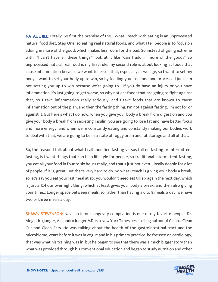NATALIE JILL: Totally. So first the premise of the... What I teach with eating is an unprocessed natural food diet, Step One, so eating real natural foods, and what I tell people is to focus on adding in more of the good, which makes less room for the bad. So instead of going extreme with, "I can't have all these things." look at it like "Can I add in more of the good?" So unprocessed natural real food is my first rule, my second role is about looking at foods that cause inflammation because we want to lessen that, especially as we age, so I want to set my body, I want to set your body up to win, so by feeding you fast food and processed junk, I'm not setting you up to win because we're going to... If you do have an injury or you have inflammation it's just going to get worse, so why not eat foods that are going to fight against that, so I take inflammation really seriously, and I take foods that are known to cause inflammation out of the plan, and then the fasting thing, I'm not against fasting, I'm not for or against it. But here's what I do now, when you give your body a break from digestion and you give your body a break from secreting insulin, you are going to lose fat and have better focus and more energy, and when we're constantly eating and constantly making our bodies work to deal with that, we are going to be in a state of foggy brain and fat storage and all of that.

So, the reason I talk about what I call modified fasting versus full on fasting or intermittent fasting, is I want things that can be a lifestyle for people, so traditional intermittent fasting, you eat all your food in four to six hours really, and that's just not even... Really doable for a lot of people. If it is, great. But that's very hard to do. So what I teach is giving your body a break, so let's say you eat your last meal at six, you wouldn't need eat till six again the next day, which is just a 12-hour overnight thing, which at least gives your body a break, and then also giving your time... Longer space between meals, so rather than having a 6 to 8 meals a day, we have two or three meals a day.

SHAWN STEVENSON: Next up in our longevity compilation is one of my favorite people. Dr. Alejandro Junger, Alejandro Junger MD, is a New York Times best-selling author of Clean... Clean Gut and Clean Eats. He was talking about the health of the gastrointestinal tract and the microbiome, years before it was in vogue and in his primary practice, he focused on cardiology, that was what his training was in, but he began to see that there was a much bigger story than what was provided through his conventional education and began to study nutrition and other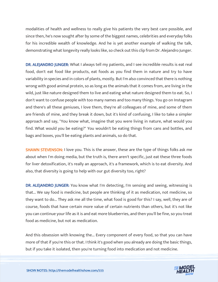modalities of health and wellness to really give his patients the very best care possible, and since then, he's now sought after by some of the biggest names, celebrities and everyday folks for his incredible wealth of knowledge. And he is yet another example of walking the talk, demonstrating what longevity really looks like, so check out this clip from Dr. Alejandro Junger.

DR. ALEJANDRO JUNGER: What I always tell my patients, and I see incredible results is eat real food, don't eat food like products, eat foods as you find them in nature and try to have variability in species and in colors of plants, mostly. But I'm also convinced that there is nothing wrong with good animal protein, so as long as the animals that it comes from, are living in the wild, just like nature designed them to live and eating what nature designed them to eat. So, I don't want to confuse people with too many names and too many things. You go on Instagram and there's all these geniuses, I love them, they're all colleagues of mine, and some of them are friends of mine, and they break it down, but it's kind of confusing, I like to take a simpler approach and say, "You know what, imagine that you were living in nature, what would you find. What would you be eating?" You wouldn't be eating things from cans and bottles, and bags and boxes, you'll be eating plants and animals, so do that.

**SHAWN STEVENSON: I** love you. This is the answer, these are the type of things folks ask me about when I'm doing media, but the truth is, there aren't specific, just eat these three foods for liver detoxification, it's really an approach, it's a framework, which is to eat diversity. And also, that diversity is going to help with our gut diversity too, right?

DR. ALEJANDRO JUNGER: You know what I'm detecting, I'm sensing and seeing, witnessing is that... We say food is medicine, but people are thinking of it as medication, not medicine, so they want to do... They ask me all the time, what food is good for this? I say, well, they are of course, foods that have certain more value of certain nutrients than others, but it's not like you can continue your life as it is and eat more blueberries, and then you'll be fine, so you treat food as medicine, but not as medication.

And this obsession with knowing the... Every component of every food, so that you can have more of that if you're this or that. I think it's good when you already are doing the basic things, but if you take it isolated, then you're turning food into medication and not medicine.

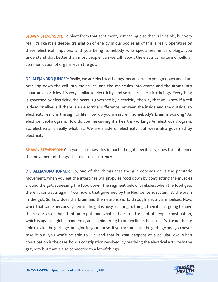**SHAWN STEVENSON:** To pivot from that sentiment, something else that is invisible, but very real, it's like it's a deeper translation of energy in our bodies all of this is really operating on these electrical impulses, and you being somebody who specialized in cardiology, you understand that better than most people, can we talk about the electrical nature of cellular communication of organs, even the gut.

DR. ALEJANDRO JUNGER: Really, we are electrical beings, because when you go down and start breaking down the cell into molecules, and the molecules into atoms and the atoms into subatomic particles, it's very similar to electricity, and so we are electrical beings. Everything is governed by electricity, the heart is governed by electricity, the way that you know if a cell is dead or alive is if there is an electrical difference between the inside and the outside, so electricity really is the sign of life. How do you measure if somebody's brain is working? An electroencephalogram. How do you measuring if a heart is working? An electrocardiogram. So, electricity is really what is... We are made of electricity, but we're also governed by electricity.

**SHAWN STEVENSON:** Can you share how this impacts the gut specifically, does this influence the movement of things, that electrical currency.

DR. ALEJANDRO JUNGER: So, one of the things that the gut depends on is the prostatic movement, when you eat the intestines will propulse food down by contracting the muscles around the gut, squeezing the food down. The segment below it relaxes, when the food gets there, it contracts again. Now how is that governed by the Neuroenteric system. By the brain in the gut. So how does the brain and the neurons work, through electrical impulses. Now, when that same nervous system in the gut is busy reacting to things, then it ain't going to have the resources or the attention to pull, and what is the result for a lot of people constipation, which is again, a global pandemic, and so hindering to our wellness because it's like not being able to take the garbage. Imagine in your house, if you accumulate the garbage and you never take it out, you won't be able to live, and that is what happens at a cellular level when constipation is the case, how is constipation resolved, by resolving the electrical activity in the gut, now but that is also connected to a lot of things.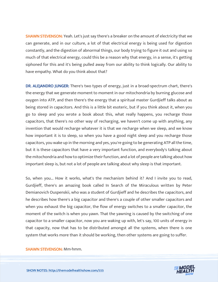SHAWN STEVENSON: Yeah. Let's just say there's a breaker on the amount of electricity that we can generate, and in our culture, a lot of that electrical energy is being used for digestion constantly, and the digestion of abnormal things, our body trying to figure it out and using so much of that electrical energy, could this be a reason why that energy, in a sense, it's getting siphoned for this and it's being pulled away from our ability to think logically. Our ability to have empathy. What do you think about that?

DR. ALEJANDRO JUNGER: There's two types of energy, just in a broad-spectrum chart, there's the energy that we generate moment to moment in our mitochondria by burning glucose and oxygen into ATP, and then there's the energy that a spiritual master Gurdjieff talks about as being stored in capacitors. And this is a little bit esoteric, but if you think about it, when you go to sleep and you wrote a book about this, what really happens, you recharge those capacitors, that there's no other way of recharging, we haven't come up with anything, any invention that would recharge whatever it is that we recharge when we sleep, and we know how important it is to sleep, so when you have a good night sleep and you recharge those capacitors, you wake up in the morning and yes, you're going to be generating ATP all the time, but it is these capacitors that have a very important function, and everybody's talking about the mitochondria and how to optimize their function, and a lot of people are talking about how important sleep is, but not a lot of people are talking about why sleep is that important.

So, when you... How it works, what's the mechanism behind it? And I invite you to read, Gurdjieff, there's an amazing book called In Search of the Miraculous written by Peter Demianovich Ouspenskii, who was a student of Gurdjieff and he describes the capacitors, and he describes how there's a big capacitor and there's a couple of other smaller capacitors and when you exhaust the big capacitor, the flow of energy switches to a smaller capacitor, the moment of the switch is when you yawn. That the yawning is caused by the switching of one capacitor to a smaller capacitor, now you are waking up with, let's say, 100 units of energy in that capacity, now that has to be distributed amongst all the systems, when there is one system that works more than it should be working, then other systems are going to suffer.

SHAWN STEVENSON: Mm-hmm.

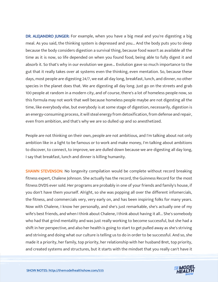DR. ALEJANDRO JUNGER: For example, when you have a big meal and you're digesting a big meal. As you said, the thinking system is depressed and you... And the body puts you to sleep because the body considers digestion a survival thing, because food wasn't as available all the time as it is now, so life depended on when you found food, being able to fully digest it and absorb it. So that's why in our evolution we gave... Evolution gave so much importance to the gut that it really takes over at systems even the thinking, even mentation. So, because these days, most people are digesting 24/7, we eat all day long, breakfast, lunch, and dinner, no other species in the planet does that. We are digesting all day long. Just go on the streets and grab 100 people at random in a modern city, and of course, there's a lot of homeless people now, so this formula may not work that well because homeless people maybe are not digesting all the time, like everybody else, but everybody is at some stage of digestion, necessarily, digestion is an energy-consuming process, it will steal energy from detoxification, from defense and repair, even from ambition, and that's why we are so dulled up and so anesthetized.

People are not thinking on their own, people are not ambitious, and I'm talking about not only ambition like in a light to be famous or to work and make money, I'm talking about ambitions to discover, to connect, to improve, we are dulled down because we are digesting all day long, I say that breakfast, lunch and dinner is killing humanity.

**SHAWN STEVENSON:** No longevity compilation would be complete without record breaking fitness expert, Chalene Johnson. She actually has the record, the Guinness Record for the most fitness DVDS ever sold. Her programs are probably in one of your friends and family's house, if you don't have them yourself. Alright, so she was popping all over the different infomercials, the fitness, and commercials very, very early on, and has been inspiring folks for many years. Now with Chalene, I know her personally, and she's just remarkable, she's actually one of my wife's best friends, and when I think about Chalene, I think about having it all... She's somebody who had that grind mentality and was just really working to become successful, but she had a shift in her perspective, and also her health is going to start to get pulled away as she's striving and striving and doing what our culture is telling us to do in order to be successful. And so, she made it a priority, her family, top priority, her relationship with her husband Bret, top priority, and created systems and structures, but it starts with the mindset that you really can't have it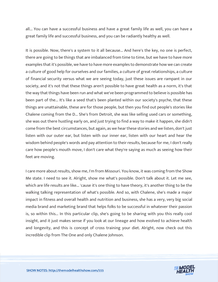all... You can have a successful business and have a great family life as well, you can have a great family life and successful business, and you can be radiantly healthy as well.

It is possible. Now, there's a system to it all because... And here's the key, no one is perfect, there are going to be things that are imbalanced from time to time, but we have to have more examples that it's possible, we have to have more examples to demonstrate how we can create a culture of good help for ourselves and our families, a culture of great relationships, a culture of financial security versus what we are seeing today, just these issues are rampant in our society, and it's not that these things aren't possible to have great health as a norm, it's that the way that things have been run and what we've been programmed to believe is possible has been part of the... It's like a seed that's been planted within our society's psyche, that these things are unattainable, these are for those people, but then you find out people's stories like Chalene coming from the D... She's from Detroit, she was like selling used cars or something, she was out there hustling early on, and just trying to find a way to make it happen, she didn't come from the best circumstances, but again, as we hear these stories and we listen, don't just listen with our outer ear, but listen with our inner ear, listen with our heart and hear the wisdom behind people's words and pay attention to their results, because for me, I don't really care how people's mouth move, I don't care what they're saying as much as seeing how their feet are moving.

I care more about results, show me, I'm from Missouri. You know, it was coming from the Show Me state. I need to see it. Alright, show me what's possible. Don't talk about it. Let me see, which are life results are like... 'cause it's one thing to have theory, it's another thing to be the walking talking representation of what's possible. And so, with Chalene, she's made a major impact in fitness and overall health and nutrition and business, she has a very, very big social media brand and marketing brand that helps folks to be successful in whatever their passion is, so within this... In this particular clip, she's going to be sharing with you this really cool insight, and it just makes sense if you look at our lineage and how evolved to achieve health and longevity, and this is concept of cross training your diet. Alright, now check out this incredible clip from The One and only Chalene Johnson.

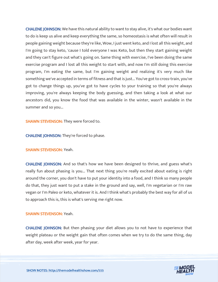CHALENE JOHNSON: We have this natural ability to want to stay alive, it's what our bodies want to do is keep us alive and keep everything the same, so homeostasis is what often will result in people gaining weight because they're like, Wow, I just went keto, and I lost all this weight, and I'm going to stay keto, 'cause I told everyone I was Keto, but then they start gaining weight and they can't figure out what's going on. Same thing with exercise, I've been doing the same exercise program and I lost all this weight to start with, and now I'm still doing this exercise program, I'm eating the same, but I'm gaining weight and realizing it's very much like something we've accepted in terms of fitness and that is just... You've got to cross-train, you've got to change things up, you've got to have cycles to your training so that you're always improving, you're always keeping the body guessing, and then taking a look at what our ancestors did, you know the food that was available in the winter, wasn't available in the summer and so you...

**SHAWN STEVENSON:** They were forced to.

CHALENE JOHNSON: They're forced to phase.

# SHAWN STEVENSON: Yeah.

CHALENE JOHNSON: And so that's how we have been designed to thrive, and guess what's really fun about phasing is you... That next thing you're really excited about eating is right around the corner, you don't have to put your identity into a food, and I think so many people do that, they just want to put a stake in the ground and say, well, I'm vegetarian or I'm raw vegan or I'm Paleo or keto, whatever it is. And I think what's probably the best way for all of us to approach this is, this is what's serving me right now.

# SHAWN STEVENSON: Yeah.

CHALENE JOHNSON: But then phasing your diet allows you to not have to experience that weight plateau or the weight gain that often comes when we try to do the same thing, day after day, week after week, year for year.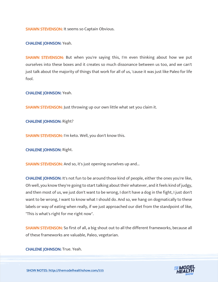SHAWN STEVENSON: It seems so Captain Obvious.

CHALENE JOHNSON: Yeah.

**SHAWN STEVENSON:** But when you're saying this, I'm even thinking about how we put ourselves into these boxes and it creates so much dissonance between us too, and we can't just talk about the majority of things that work for all of us, 'cause it was just like Paleo for life fool.

CHALENE JOHNSON: Yeah.

SHAWN STEVENSON: Just throwing up our own little what set you claim it.

CHALENE JOHNSON: Right?

SHAWN STEVENSON: I'm keto. Well, you don't know this.

CHALENE JOHNSON: Right.

SHAWN STEVENSON: And so, it's just opening ourselves up and...

CHALENE JOHNSON: It's not fun to be around those kind of people, either the ones you're like, Oh well, you know they're going to start talking about their whatever, and it feels kind of judgy, and then most of us, we just don't want to be wrong, I don't have a dog in the fight, I just don't want to be wrong, I want to know what I should do. And so, we hang on dogmatically to these labels or way of eating when really, if we just approached our diet from the standpoint of like, "This is what's right for me right now".

SHAWN STEVENSON: So first of all, a big shout out to all the different frameworks, because all of these frameworks are valuable, Paleo, vegetarian.

CHALENE JOHNSON: True. Yeah.

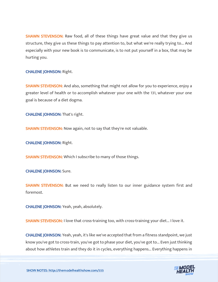SHAWN STEVENSON: Raw food, all of these things have great value and that they give us structure, they give us these things to pay attention to, but what we're really trying to... And especially with your new book is to communicate, is to not put yourself in a box, that may be hurting you.

# CHALENE JOHNSON: Right.

**SHAWN STEVENSON:** And also, something that might not allow for you to experience, enjoy a greater level of health or to accomplish whatever your one with the 131, whatever your one goal is because of a diet dogma.

CHALENE JOHNSON: That's right.

SHAWN STEVENSON: Now again, not to say that they're not valuable.

CHALENE JOHNSON: Right.

**SHAWN STEVENSON:** Which I subscribe to many of those things.

CHALENE JOHNSON: Sure.

SHAWN STEVENSON: But we need to really listen to our inner guidance system first and foremost.

CHALENE JOHNSON: Yeah, yeah, absolutely.

SHAWN STEVENSON: I love that cross-training too, with cross-training your diet... I love it.

CHALENE JOHNSON: Yeah, yeah, it's like we've accepted that from a fitness standpoint, we just know you've got to cross-train, you've got to phase your diet, you've got to... Even just thinking about how athletes train and they do it in cycles, everything happens... Everything happens in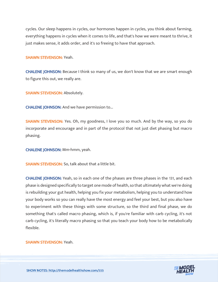cycles. Our sleep happens in cycles, our hormones happen in cycles, you think about farming, everything happens in cycles when it comes to life, and that's how we were meant to thrive, it just makes sense, it adds order, and it's so freeing to have that approach.

#### SHAWN STEVENSON: Yeah.

CHALENE JOHNSON: Because I think so many of us, we don't know that we are smart enough to figure this out, we really are.

SHAWN STEVENSON: Absolutely.

CHALENE JOHNSON: And we have permission to...

SHAWN STEVENSON: Yes. Oh, my goodness, I love you so much. And by the way, so you do incorporate and encourage and in part of the protocol that not just diet phasing but macro phasing.

CHALENE JOHNSON: Mm-hmm, yeah.

SHAWN STEVENSON: So, talk about that a little bit.

CHALENE JOHNSON: Yeah, so in each one of the phases are three phases in the 131, and each phase is designed specifically to target one mode of health, so that ultimately what we're doing is rebuilding your gut health, helping you fix your metabolism, helping you to understand how your body works so you can really have the most energy and feel your best, but you also have to experiment with these things with some structure, so the third and final phase, we do something that's called macro phasing, which is, if you're familiar with carb cycling, it's not carb cycling, it's literally macro phasing so that you teach your body how to be metabolically flexible.

#### SHAWN STEVENSON: Yeah.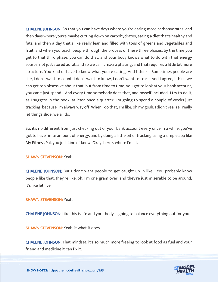CHALENE JOHNSON: So that you can have days where you're eating more carbohydrates, and then days where you're maybe cutting down on carbohydrates, eating a diet that's healthy and fats, and then a day that's like really lean and filled with tons of greens and vegetables and fruit, and when you teach people through the process of these three phases, by the time you get to that third phase, you can do that, and your body knows what to do with that energy source, not just stored as fat, and so we call it macro phasing, and that requires a little bit more structure. You kind of have to know what you're eating. And I think... Sometimes people are like, I don't want to count, I don't want to know, I don't want to track. And I agree, I think we can get too obsessive about that, but from time to time, you got to look at your bank account, you can't just spend... And every time somebody does that, and myself included, I try to do it, as I suggest in the book, at least once a quarter, I'm going to spend a couple of weeks just tracking, because I'm always way off. When I do that, I'm like, oh my gosh, I didn't realize I really let things slide, we all do.

So, it's no different from just checking out of your bank account every once in a while, you've got to have finite amount of energy, and by doing a little bit of tracking using a simple app like My Fitness Pal, you just kind of know, Okay, here's where I'm at.

# SHAWN STEVENSON: Yeah.

CHALENE JOHNSON: But I don't want people to get caught up in like... You probably know people like that, they're like, oh, I'm one gram over, and they're just miserable to be around, it's like let live.

# SHAWN STEVENSON: Yeah.

CHALENE JOHNSON: Like this is life and your body is going to balance everything out for you.

SHAWN STEVENSON: Yeah, it what it does.

CHALENE JOHNSON: That mindset, it's so much more freeing to look at food as fuel and your friend and medicine it can fix it.

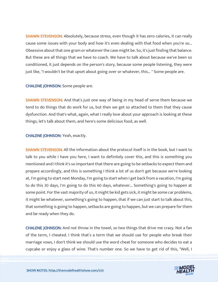**SHAWN STEVENSON:** Absolutely, because stress, even though it has zero calories, it can really cause some issues with your body and how it's even dealing with that food when you're so... Obsessive about that one gram or whatever the case might be. So, it's just finding that balance. But these are all things that we have to coach. We have to talk about because we've been so conditioned, it just depends on the person's story, because some people listening, they were just like, "I wouldn't be that upset about going over or whatever, this... " Some people are.

# CHALENE JOHNSON: Some people are.

SHAWN STEVENSON: And that's just one way of being in my head of serve them because we tend to do things that do work for us, but then we get so attached to them that they cause dysfunction. And that's what, again, what I really love about your approach is looking at these things, let's talk about them, and here's some delicious food, as well.

# CHALENE JOHNSON: Yeah, exactly.

SHAWN STEVENSON: All the information about the protocol itself is in the book, but I want to talk to you while I have you here, I want to definitely cover this, and this is something you mentioned and I think it's so important that there are going to be setbacks to expect them and prepare accordingly, and this is something I think a lot of us don't get because we're looking at, I'm going to start next Monday, I'm going to start when I get back from a vacation, I'm going to do this 30 days, I'm going to do this 60 days, whatever... Something's going to happen at some point. For the vast majority of us, it might be kid gets sick, it might be some car problems, it might be whatever, something's going to happen, that if we can just start to talk about this, that something is going to happen, setbacks are going to happen, but we can prepare for them and be ready when they do.

CHALENE JOHNSON: And not throw in the towel, so two things that drive me crazy. Not a fan of the term, I cheated. I think that's a term that we should use for people who break their marriage vows, I don't think we should use the word cheat for someone who decides to eat a cupcake or enjoy a glass of wine. That's number one. So we have to get rid of this, "Well, I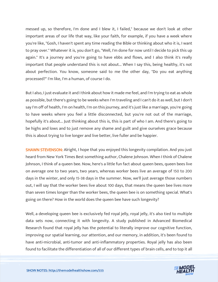messed up, so therefore, I'm done and I blew it, I failed," because we don't look at other important areas of our life that way, like your faith, for example, if you have a week where you're like, "Gosh, I haven't spent any time reading the Bible or thinking about who it is, I want to pray over." Whatever it is, you don't go, "Well, I'm done for now until I decide to pick this up again." It's a journey and you're going to have ebbs and flows, and I also think it's really important that people understand this is not about... When I say this, being healthy, it's not about perfection. You know, someone said to me the other day, "Do you eat anything processed?" I'm like, I'm a human, of course I do.

But I also, I just evaluate it and I think about how it made me feel, and I'm trying to eat as whole as possible, but there's going to be weeks when I'm traveling and I can't do it as well, but I don't say I'm off of health, I'm on health, I'm on this journey, and it's just like a marriage, you're going to have weeks where you feel a little disconnected, but you're not out of the marriage, hopefully it's about... Just thinking about this is, this is part of who I am. And there's going to be highs and lows and to just remove any shame and guilt and give ourselves grace because this is about trying to live longer and live better, live fuller and be happier.

**SHAWN STEVENSON:** Alright, I hope that you enjoyed this longevity compilation. And you just heard from New York Times Best something author, Chalene Johnson. When I think of Chalene Johnson, I think of a queen bee. Now, here's a little fun fact about queen bees, queen bees live on average one to two years, two years, whereas worker bees live an average of 150 to 200 days in the winter, and only 15-38 days in the summer. Now, we'll just average those numbers out, I will say that the worker bees live about 100 days, that means the queen bee lives more than seven times longer than the worker bees, the queen bee is on something special. What's going on there? How in the world does the queen bee have such longevity?

Well, a developing queen bee is exclusively fed royal jelly, royal jelly, it's also tied to multiple data sets now, connecting it with longevity. A study published in Advanced Biomedical Research found that royal jelly has the potential to literally improve our cognitive function, improving our spatial learning, our attention, and our memory, in addition, it's been found to have anti-microbial, anti-tumor and anti-inflammatory properties. Royal jelly has also been found to facilitate the differentiation of all of our different types of brain cells, and to top it all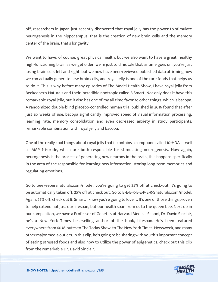off, researchers in Japan just recently discovered that royal jelly has the power to stimulate neurogenesis in the hippocampus, that is the creation of new brain cells and the memory center of the brain, that's longevity.

We want to have, of course, great physical health, but we also want to have a great, healthy high-functioning brain as we get older, we're just told his tale that as time goes on, you're just losing brain cells left and right, but we now have peer-reviewed published data affirming how we can actually generate new brain cells, and royal jelly is one of the rare foods that helps us to do it. This is why before many episodes of The Model Health Show, I have royal jelly from Beekeeper's Naturals and their incredible nootropic called B.Smart. Not only does it have this remarkable royal jelly, but it also has one of my all-time favorite other things, which is bacopa. A randomized double-blind placebo-controlled human trial published in 2016 found that after just six weeks of use, bacopa significantly improved speed of visual information processing, learning rate, memory consolidation and even decreased anxiety in study participants, remarkable combination with royal jelly and bacopa.

One of the really cool things about royal jelly that it contains a compound called 10-HDA as well as AMP N1-oxide, which are both responsible for stimulating neurogenesis. Now again, neurogenesis is the process of generating new neurons in the brain, this happens specifically in the area of the responsible for learning new information, storing long-term memories and regulating emotions.

Go to beekeepersnaturals.com/model, you're going to get 25% off at check-out, it's going to be automatically taken off, 25% off at check out. Go to B-E-E-K-E-E-P-E-R-Snaturals.com/model. Again, 25% off, check out B. Smart, I know you're going to love it. It's one of those things proven to help extend not just our lifespan, but our health span from us to the queen bee. Next up in our compilation, we have a Professor of Genetics at Harvard Medical School, Dr. David Sinclair, he's a New York Times best-selling author of the book, Lifespan. He's been featured everywhere from 60 Minutes to The Today Show, to The New York Times, Newsweek, and many other major media outlets. In this clip, he's going to be sharing with you this important concept of eating stressed foods and also how to utilize the power of epigenetics, check out this clip from the remarkable Dr. David Sinclair.

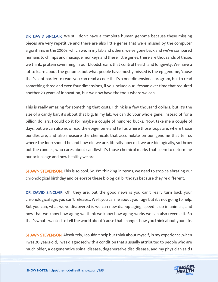DR. DAVID SINCLAIR: We still don't have a complete human genome because these missing pieces are very repetitive and there are also little genes that were missed by the computer algorithms in the 2000s, which we, in my lab and others, we've gone back and we've compared humans to chimps and macaque monkeys and these little genes, there are thousands of those, we think, protein swimming in our bloodstream, that control health and longevity. We have a lot to learn about the genome, but what people have mostly missed is the epigenome, 'cause that's a lot harder to read, you can read a code that's a one-dimensional program, but to read something three and even four dimensions, if you include our lifespan over time that required another 20 years of innovation, but we now have the tools where we can...

This is really amazing for something that costs, I think is a few thousand dollars, but it's the size of a candy bar, it's about that big. In my lab, we can do your whole gene, instead of for a billion dollars, I could do it for maybe a couple of hundred bucks. Now, take me a couple of days, but we can also now read the epigenome and tell us where those loops are, where those bundles are, and also measure the chemicals that accumulate on our genome that tell us where the loop should be and how old we are, literally how old, we are biologically, so throw out the candles, who cares about candles? It's those chemical marks that seem to determine our actual age and how healthy we are.

**SHAWN STEVENSON:** This is so cool. So, I'm thinking in terms, we need to stop celebrating our chronological birthday and celebrate these biological birthdays because they're different.

DR. DAVID SINCLAIR: Oh, they are, but the good news is you can't really turn back your chronological age, you can't release... Well, you can lie about your age but it's not going to help. But you can, what we've discovered is we can now dial-up aging, speed it up in animals, and now that we know how aging we think we know how aging works we can also reverse it. So that's what I wanted to tell the world about 'cause that changes how you think about your life.

**SHAWN STEVENSON:** Absolutely, I couldn't help but think about myself, in my experience, when I was 20-years-old, I was diagnosed with a condition that's usually attributed to people who are much older, a degenerative spinal disease, degenerative disc disease, and my physician said I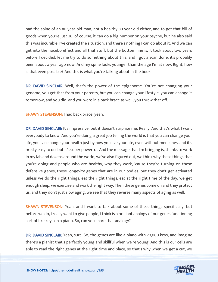had the spine of an 80-year-old man, not a healthy 80-year-old either, and to get that bill of goods when you're just 20, of course, it can do a big number on your psyche, but he also said this was incurable. I've created the situation, and there's nothing I can do about it. And we can get into the nocebo effect and all that stuff, but the bottom line is, it took about two years before I decided, let me try to do something about this, and I got a scan done, it's probably been about a year ago now. And my spine looks younger than the age I'm at now. Right, how is that even possible? And this is what you're talking about in the book.

DR. DAVID SINCLAIR: Well, that's the power of the epigenome. You're not changing your genome, you get that from your parents, but you can change your lifestyle, you can change it tomorrow, and you did, and you were in a back brace as well, you threw that off.

SHAWN STEVENSON: I had back brace, yeah.

DR. DAVID SINCLAIR: It's impressive, but it doesn't surprise me. Really. And that's what I want everybody to know. And you're doing a great job telling the world is that you can change your life, you can change your health just by how you live your life, even without medicines, and it's pretty easy to do, but it's super powerful. And the message that I'm bringing is, thanks to work in my lab and dozens around the world, we've also figured out, we think why these things that you're doing and people who are healthy, why they work, 'cause they're turning on these defensive genes, these longevity genes that are in our bodies, but they don't get activated unless we do the right things, eat the right things, eat at the right time of the day, we get enough sleep, we exercise and work the right way. Then these genes come on and they protect us, and they don't just slow aging, we see that they reverse many aspects of aging as well.

SHAWN STEVENSON: Yeah, and I want to talk about some of these things specifically, but before we do, I really want to give people, I think is a brilliant analogy of our genes functioning sort of like keys on a piano. So, can you share that analogy?

DR. DAVID SINCLAIR: Yeah, sure. So, the genes are like a piano with 20,000 keys, and imagine there's a pianist that's perfectly young and skillful when we're young. And this is our cells are able to read the right genes at the right time and place, so that's why when we get a cut, we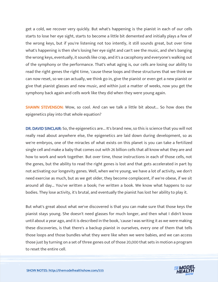get a cold, we recover very quickly. But what's happening is the pianist in each of our cells starts to lose her eye sight, starts to become a little bit demented and initially plays a few of the wrong keys, but if you're listening not too intently, it still sounds great, but over time what's happening is then she's losing her eye sight and can't see the music, and she's banging the wrong keys, eventually, it sounds like crap, and it's a cacophony and everyone's walking out of the symphony or the performance. That's what aging is, our cells are losing our ability to read the right genes the right time, 'cause these loops and these structures that we think we can now reset, so we can actually, we think go in, give the pianist or even get a new pianist or give that pianist glasses and new music, and within just a matter of weeks, now you get the symphony back again and cells work like they did when they were young again.

SHAWN STEVENSON: Wow, so cool. And can we talk a little bit about... So how does the epigenetics play into that whole equation?

DR. DAVID SINCLAIR: So, the epigenetics are... It's brand new, so this is science that you will not really read about anywhere else, the epigenetics are laid down during development, so as we're embryos, one of the miracles of what exists on this planet is you can take a fertilized single cell and make a baby that comes out with 26 billion cells that all know what they are and how to work and work together. But over time, those instructions in each of those cells, not the genes, but the ability to read the right genes is lost and that gets accelerated in part by not activating our longevity genes. Well, when we're young, we have a lot of activity, we don't need exercise as much, but as we get older, they become complacent, if we're obese, if we sit around all day... You've written a book; I've written a book. We know what happens to our bodies. They lose activity, it's brutal, and eventually the pianist has lost her ability to play it.

But what's great about what we've discovered is that you can make sure that those keys the pianist stays young. She doesn't need glasses for much longer, and then what I didn't know until about a year ago, and it is described in the book, 'cause I was writing it as we were making these discoveries, is that there's a backup pianist in ourselves, every one of them that tells those loops and those bundles what they were like when we were babies, and we can access those just by turning on a set of three genes out of those 20,000 that sets in motion a program to reset the entire cell.

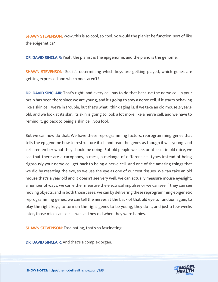**SHAWN STEVENSON:** Wow, this is so cool, so cool. So would the pianist be function, sort of like the epigenetics?

DR. DAVID SINCLAIR: Yeah, the pianist is the epigenome, and the piano is the genome.

SHAWN STEVENSON: So, it's determining which keys are getting played, which genes are getting expressed and which ones aren't?

DR. DAVID SINCLAIR: That's right, and every cell has to do that because the nerve cell in your brain has been there since we are young, and it's going to stay a nerve cell. If it starts behaving like a skin cell, we're in trouble, but that's what I think aging is. If we take an old mouse 2-yearsold, and we look at its skin, its skin is going to look a lot more like a nerve cell, and we have to remind it, go back to being a skin cell, you fool.

But we can now do that. We have these reprogramming factors, reprogramming genes that tells the epigenome how to restructure itself and read the genes as though it was young, and cells remember what they should be doing. But old people we see, or at least in old mice, we see that there are a cacophony, a mess, a mélange of different cell types instead of being rigorously your nerve cell get back to being a nerve cell. And one of the amazing things that we did by resetting the eye, so we use the eye as one of our test tissues. We can take an old mouse that's a year old and it doesn't see very well, we can actually measure mouse eyesight, a number of ways, we can either measure the electrical impulses or we can see if they can see moving objects, and in both those cases, we can by delivering these reprogramming epigenetic reprogramming genes, we can tell the nerves at the back of that old eye to function again, to play the right keys, to turn on the right genes to be young, they do it, and just a few weeks later, those mice can see as well as they did when they were babies.

SHAWN STEVENSON: Fascinating, that's so fascinating.

DR. DAVID SINCLAIR: And that's a complex organ.

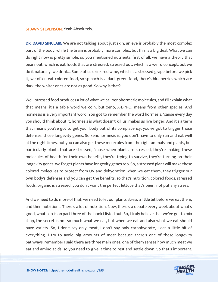#### SHAWN STEVENSON: Yeah Absolutely.

DR. DAVID SINCLAIR: We are not talking about just skin, an eye is probably the most complex part of the body, while the brain is probably more complex, but this is a big deal. What we can do right now is pretty simple, so you mentioned nutrients, first of all, we have a theory that bears out, which is eat foods that are stressed, stressed out, which is a weird concept, but we do it naturally, we drink... Some of us drink red wine, which is a stressed grape before we pick it, we often eat colored food, so spinach is a dark green food, there's blueberries which are dark, the whiter ones are not as good. So why is that?

Well, stressed food produces a lot of what we call xenohormetic molecules, and I'll explain what that means, it's a table word we coin, but xeno, X-E-N-O, means from other species. And hormesis is a very important word. You got to remember the word hormesis, 'cause every day you should think about it, hormesis is what doesn't kill us, makes us live longer. And it's a term that means you've got to get your body out of its complacency, you've got to trigger those defenses, those longevity genes. So xenohormesis is, you don't have to only run and eat well at the right times, but you can also get these molecules from the right animals and plants, but particularly plants that are stressed, 'cause when plant are stressed, they're making these molecules of health for their own benefit, they're trying to survive, they're turning on their longevity genes, we forget plants have longevity genes too. So, a stressed plant will make these colored molecules to protect from UV and dehydration when we eat them, they trigger our own body's defenses and you can get the benefits, so that's nutrition, colored foods, stressed foods, organic is stressed, you don't want the perfect lettuce that's been, not put any stress.

And we need to do more of that, we need to let our plants stress a little bit before we eat them, and then nutrition... There's a lot of nutrition. Now, there's a debate every week about what's good, what I do is on part three of the book I listed out. So, I truly believe that we've got to mix it up, the secret is not so much what we eat, but when we eat and also what we eat should have variety. So, I don't say only meat, I don't say only carbohydrate, I eat a little bit of everything. I try to avoid big amounts of meat because there's one of these longevity pathways, remember I said there are three main ones, one of them senses how much meat we eat and amino acids, so you need to give it time to rest and settle down. So that's important,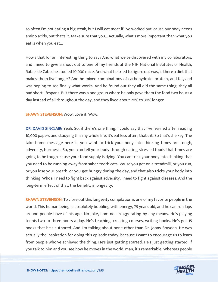so often I'm not eating a big steak, but I will eat meat if I've worked out 'cause our body needs amino acids, but that's it. Make sure that you... Actually, what's more important than what you eat is when you eat...

How's that for an interesting thing to say? And what we've discovered with my collaborators, and I need to give a shout out to one of my friends at the NIH National Institutes of Health, Rafael de Cabo, he studied 10,000 mice. And what he tried to figure out was, is there a diet that makes them live longer? And he mixed combinations of carbohydrate, protein, and fat, and was hoping to see finally what works. And he found out they all did the same thing, they all had short lifespans. But there was a one group where he only gave them the food two hours a day instead of all throughout the day, and they lived about 20% to 30% longer.

# SHAWN STEVENSON: Wow. Love it. Wow.

DR. DAVID SINCLAIR: Yeah. So, if there's one thing, I could say that I've learned after reading 10,000 papers and studying this my whole life, it's eat less often, that's it. So that's the key. The take home message here is, you want to trick your body into thinking times are tough, adversity, hormesis. So, you can tell your body through eating stressed foods that times are going to be tough 'cause your food supply is dying. You can trick your body into thinking that you need to be running away from saber-tooth cats, 'cause you get on a treadmill, or you run, or you lose your breath, or you get hungry during the day, and that also tricks your body into thinking, Whoa, I need to fight back against adversity, I need to fight against diseases. And the long-term effect of that, the benefit, is longevity.

**SHAWN STEVENSON:** To close out this longevity compilation is one of my favorite people in the world. This human being is absolutely bubbling with energy, 75 years old, and he can run laps around people have of his age. No joke, I am not exaggerating by any means. He's playing tennis two to three hours a day. He's teaching, creating courses, writing books. He's got 15 books that he's authored. And I'm talking about none other than Dr. Jonny Bowden. He was actually the inspiration for doing this episode today, because I want to encourage us to learn from people who've achieved the thing. He's just getting started. He's just getting started. If you talk to him and you see how he moves in the world, man, it's remarkable. Whereas people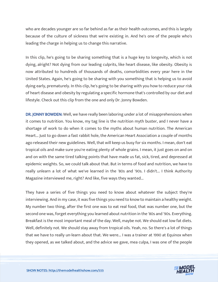who are decades younger are so far behind as far as their health outcomes, and this is largely because of the culture of sickness that we're existing in. And he's one of the people who's leading the charge in helping us to change this narrative.

In this clip, he's going to be sharing something that is a huge key to longevity, which is not dying, alright? Not dying from our leading culprits, like heart disease, like obesity. Obesity is now attributed to hundreds of thousands of deaths, comorbidities every year here in the United States. Again, he's going to be sharing with you something that is helping us to avoid dying early, prematurely. In this clip, he's going to be sharing with you how to reduce your risk of heart disease and obesity by regulating a specific hormone that's controlled by our diet and lifestyle. Check out this clip from the one and only Dr. Jonny Bowden.

DR. JONNY BOWDEN: Well, we have really been laboring under a lot of misapprehensions when it comes to nutrition. You know, my tag line is the nutrition myth buster, and I never have a shortage of work to do when it comes to the myths about human nutrition. The American Heart... Just to go down a fast rabbit hole, the American Heart Association a couple of months ago released their new guidelines. Well, that will keep us busy for six months. I mean, don't eat tropical oils and make sure you're eating plenty of whole grains. I mean, it just goes on and on and on with the same tired talking points that have made us fat, sick, tired, and depressed at epidemic weights. So, we could talk about that. But in terms of food and nutrition, we have to really unlearn a lot of what we've learned in the '80s and '90s. I didn't... I think Authority Magazine interviewed me, right? And like, five ways they wanted...

They have a series of five things you need to know about whatever the subject they're interviewing. And in my case, it was five things you need to know to maintain a healthy weight. My number two thing, after the first one was to eat real food, that was number one, but the second one was, forget everything you learned about nutrition in the '80s and '90s. Everything. Breakfast is the most important meal of the day. Well, maybe not. We should eat low fat diets. Well, definitely not. We should stay away from tropical oils. Yeah, no. So there's a lot of things that we have to really un-learn about that. We were... I was a trainer at 1990 at Equinox when they opened, as we talked about, and the advice we gave, mea culpa, I was one of the people

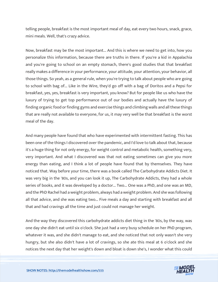telling people, breakfast is the most important meal of day, eat every two hours, snack, grace, mini meals. Well, that's crazy advice.

Now, breakfast may be the most important... And this is where we need to get into, how you personalize this information, because there are truths in there. If you're a kid in Appalachia and you're going to school on an empty stomach, there's good studies that that breakfast really makes a difference in your performance, your attitude, your attention, your behavior, all those things. So yeah, as a general rule, when you're trying to talk about people who are going to school with bag of... Like in the Wire, they'd go off with a bag of Doritos and a Pepsi for breakfast, yes, yes, breakfast is very important, you know? But for people like us who have the luxury of trying to get top performance out of our bodies and actually have the luxury of finding organic food or finding gyms and exercise things and climbing walls and all these things that are really not available to everyone, for us, it may very well be that breakfast is the worst meal of the day.

And many people have found that who have experimented with intermittent fasting. This has been one of the things I discovered over the pandemic, and I'd love to talk about that, because it's a huge thing for not only energy, for weight control and metabolic health, something very, very important. And what I discovered was that not eating sometimes can give you more energy than eating, and I think a lot of people have found that by themselves. They have noticed that. Way before your time, there was a book called The Carbohydrate Addicts Diet. It was very big in the '80s, and you can look it up, The Carbohydrate Addicts, they had a whole series of books, and it was developed by a doctor... Two... One was a PhD, and one was an MD, and the PhD Rachel had a weight problem, always had a weight problem. And she was following all that advice, and she was eating two... Five meals a day and starting with breakfast and all that and had cravings all the time and just could not manage her weight.

And the way they discovered this carbohydrate addicts diet thing in the '80s, by the way, was one day she didn't eat until six o'clock. She just had a very busy schedule on her PhD program, whatever it was, and she didn't manage to eat, and she noticed that not only wasn't she very hungry, but she also didn't have a lot of cravings, so she ate this meal at 6 o'clock and she notices the next day that her weight's down and bloat is down she's, I wonder what this could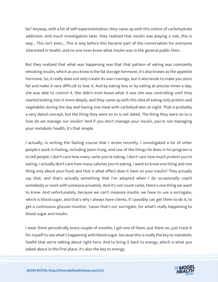be? Anyway, with a lot of self-experimentation, they came up with this notion of carbohydrate addiction. And much investigation later, they realized that insulin was playing a role, this is way... This isn't even... This is way before this became part of the conversation for everyone interested in health, and no one even knew what insulin was in the general public then.

But they realized that what was happening was that that pattern of eating was constantly elevating insulin, which as you know is the fat storage hormone, it's also known as the appetite hormone. So, it really does not only create its own cravings, but it also tends to make you store fat and make it very difficult to lose it. And by eating less or by eating at precise times a day, she was able to control it. She didn't even know what it was she was controlling until they started looking into it more deeply, and they came up with this idea of eating only protein and vegetables during the day and having one meal with carbohydrates at night. That is probably a very dated concept, but the thing they were on to is not dated. The thing they were on to is how do we manage our insulin? And if you don't manage your insulin, you're not managing your metabolic health, it's that simple.

I actually, in writing the fasting course that I wrote recently, I investigated a lot of other people's work in fasting, including Jason Fung, and one of the things he does in his program is to tell people, I don't care how many carbs you're eating, I don't care how much protein you're eating, I actually don't care how many calories you're eating, I want to know one thing and one thing only about your food, and that is what effect does it have on your insulin? They actually say that, and that's actually something that I've adopted when I do occasionally coach somebody or work with someone privately. And it's not count carbs, there's one thing we want to know. And unfortunately, because we can't measure insulin, we have to use a surrogate, which is blood sugar, and that's why I always have clients, if I possibly can get them to do it, to get a continuous glucose monitor, 'cause that's our surrogate, for what's really happening to blood sugar and insulin.

I wear them periodically every couple of months, I get one of them, put them on, just track it for myself to see what's happening with blood sugar, because this is really the key to metabolic health that we're talking about right here. And to bring it back to energy, which is what you asked about in the first place, it's also the key to energy.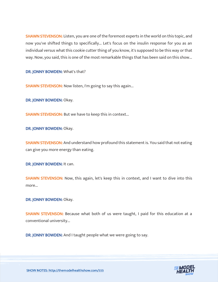SHAWN STEVENSON: Listen, you are one of the foremost experts in the world on this topic, and now you've shifted things to specifically... Let's focus on the insulin response for you as an individual versus what this cookie cutter thing of you know, it's supposed to be this way or that way. Now, you said, this is one of the most remarkable things that has been said on this show...

DR. JONNY BOWDEN: What's that?

**SHAWN STEVENSON:** Now listen, I'm going to say this again...

DR. JONNY BOWDEN: Okay.

SHAWN STEVENSON: But we have to keep this in context...

DR. JONNY BOWDEN: Okay.

**SHAWN STEVENSON:** And understand how profound this statement is. You said that not eating can give you more energy than eating.

DR. JONNY BOWDEN: It can.

**SHAWN STEVENSON:** Now, this again, let's keep this in context, and I want to dive into this more...

DR. JONNY BOWDEN: Okay.

SHAWN STEVENSON: Because what both of us were taught, I paid for this education at a conventional university...

DR. JONNY BOWDEN: And I taught people what we were going to say.

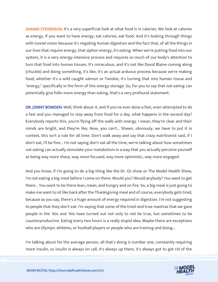**SHAWN STEVENSON:** It's a very superficial look at what food is in calories. We look at calories as energy. If you want to have energy, eat calories, eat food. And it's looking through things with tunnel vision because it's negating human digestion and the fact that, of all the things in our lives that require energy, that siphon energy, it's eating. When we're putting food into our system, it is a very energy-intensive process and requires so much of our body's attention to turn that food into human tissues. It's miraculous, and it's not like David Blaine coming along [chuckle] and doing something, it's like, it's an actual arduous process because we're making food, whether it's a wild caught salmon or Twinkie, it's turning that into human tissue and "energy," specifically in the form of this energy storage. So, for you to say that not eating can potentially give folks more energy than eating, that's a very profound statement.

DR. JONNY BOWDEN: Well, think about it, and if you've ever done a fast, even attempted to do a fast and you managed to stay away from food for a day, what happens in the second day? Everybody reports this, you're flying off the walls with energy. I mean, they're clear and their minds are bright, and they're like, Now, you can't... Shawn, obviously, we have to put it in context, this isn't a rule for all time. Don't walk away and say that crazy nutritionist said, if I don't eat, I'll be fine... I'm not saying don't eat all the time, we're talking about how sometimes not eating can actually stimulate your metabolism in a way that you actually perceive yourself as being way more sharp, way more focused, way more optimistic, way more engaged.

And you know, if I'm going to do a big thing like the Dr. Oz show or The Model Health Show, I'm not eating a big meal before I come on there. Would you? Would anybody? You want to get there... You want to be there lean, mean, and hungry and on fire. So, a big meal is just going to make me want to sit like back after the Thanksgiving meal and of course, everybody gets tired, because as you say, there's a huge amount of energy required in digestion. I'm not suggesting to people that they don't eat. I'm saying that some of the tried-and-true mantras that we gave people in the '80s and '90s have turned out not only to not be true, but sometimes to be counterproductive. Eating every two hours is a really stupid idea. Maybe there are exceptions who are Olympic athletes, or football players or people who are training and doing...

I'm talking about for the average person, all that's doing is number one, constantly requiring more insulin, so insulin is always on call, it's always up there, it's always got to get rid of the

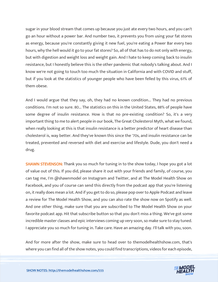sugar in your blood stream that comes up because you just ate every two hours, and you can't go an hour without a power bar. And number two, it prevents you from using your fat stores as energy, because you're constantly giving it new fuel, you're eating a Power Bar every two hours, why the hell would it go to your fat stores? So, all of that has to do not only with energy, but with digestion and weight loss and weight gain. And I hate to keep coming back to insulin resistance, but I honestly believe this is the other pandemic that nobody's talking about. And I know we're not going to touch too much the situation in California and with COVID and stuff, but if you look at the statistics of younger people who have been felled by this virus, 61% of them obese.

And I would argue that they say, oh, they had no known condition... They had no previous conditions. I'm not so sure. 80... The statistics on this in the United States, 88% of people have some degree of insulin resistance. How is that no pre-existing condition? So, it's a very important thing to me to alert people in our book, The Great Cholesterol Myth, what we found, when really looking at this is that insulin resistance is a better predictor of heart disease than cholesterol is, way better. And they've known this since the '70s, and insulin resistance can be treated, prevented and reversed with diet and exercise and lifestyle. Dude, you don't need a drug.

**SHAWN STEVENSON:** Thank you so much for tuning in to the show today, I hope you got a lot of value out of this. If you did, please share it out with your friends and family, of course, you can tag me, I'm @shawnmodel on Instagram and Twitter, and at The Model Health Show on Facebook, and you of course can send this directly from the podcast app that you're listening on, it really does mean a lot. And if you get to do so, please pop over to Apple Podcast and leave a review for The Model Health Show, and you can also rate the show now on Spotify as well. And one other thing, make sure that you are subscribed to The Model Health Show on your favorite podcast app. Hit that subscribe button so that you don't miss a thing. We've got some incredible master classes and epic interviews coming up very soon, so make sure to stay tuned. I appreciate you so much for tuning in. Take care. Have an amazing day. I'll talk with you, soon.

And for more after the show, make sure to head over to themodelhealthshow.com, that's where you can find all of the show notes, you could find transcriptions, videos for each episode,